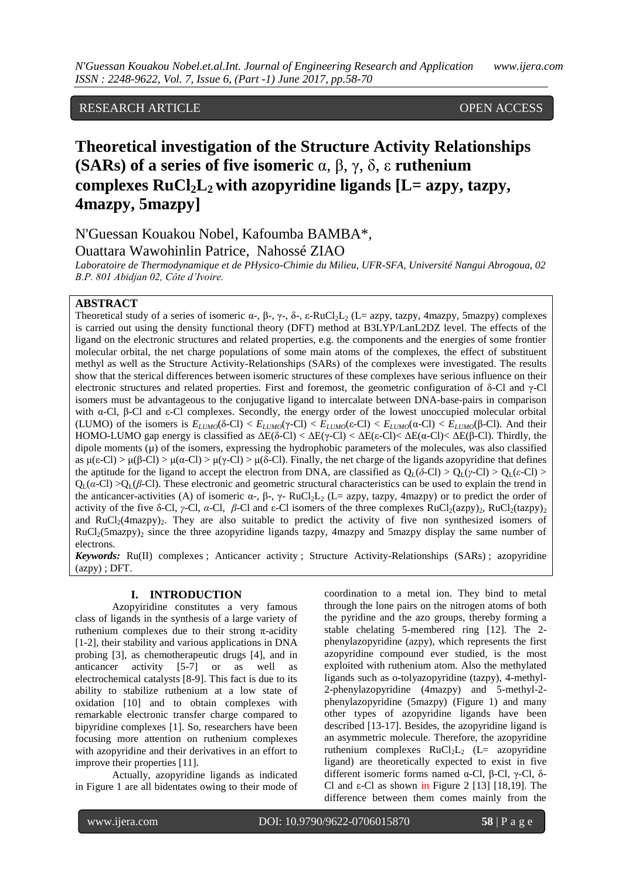## RESEARCH ARTICLE OPEN ACCESS

# **Theoretical investigation of the Structure Activity Relationships (SARs) of a series of five isomeric** α, β, γ, δ, ε **ruthenium**  complexes  $RuCl<sub>2</sub>L<sub>2</sub>$  with azopyridine ligands  $[L = azyv, tazyv,$ **4mazpy, 5mazpy]**

N'Guessan Kouakou Nobel, Kafoumba BAMBA\*, Ouattara Wawohinlin Patrice, Nahossé ZIAO

*Laboratoire de Thermodynamique et de PHysico-Chimie du Milieu, UFR-SFA, Université Nangui Abrogoua, 02 B.P. 801 Abidjan 02, Côte d'Ivoire.*

## **ABSTRACT**

Theoretical study of a series of isomeric  $\alpha$ -,  $\beta$ -,  $\gamma$ -,  $\delta$ -,  $\epsilon$ -RuCl<sub>2</sub>L<sub>2</sub> (L= azpy, tazpy, 4mazpy, 5mazpy) complexes is carried out using the density functional theory (DFT) method at B3LYP/LanL2DZ level. The effects of the ligand on the electronic structures and related properties, e.g. the components and the energies of some frontier molecular orbital, the net charge populations of some main atoms of the complexes, the effect of substituent methyl as well as the Structure Activity-Relationships (SARs) of the complexes were investigated. The results show that the sterical differences between isomeric structures of these complexes have serious influence on their electronic structures and related properties. First and foremost, the geometric configuration of δ-Cl and γ-Cl isomers must be advantageous to the conjugative ligand to intercalate between DNA-base-pairs in comparison with α-Cl, β-Cl and ε-Cl complexes. Secondly, the energy order of the lowest unoccupied molecular orbital (LUMO) of the isomers is  $E_{LUMO}(\delta$ -Cl) <  $E_{LUMO}(\gamma$ -Cl) <  $E_{LUMO}(\epsilon$ -Cl) <  $E_{LUMO}(\alpha$ -Cl) <  $E_{LUMO}(\beta$ -Cl). And their HOMO-LUMO gap energy is classified as  $\Delta E(\delta$ -Cl) <  $\Delta E(\gamma$ -Cl) <  $\Delta E(\epsilon$ -Cl)<  $\Delta E(\alpha$ -Cl)<  $\Delta E(\beta$ -Cl). Thirdly, the dipole moments  $(\mu)$  of the isomers, expressing the hydrophobic parameters of the molecules, was also classified as  $\mu(\epsilon$ -Cl) >  $\mu(\alpha$ -Cl) >  $\mu(\gamma$ -Cl) >  $\mu(\delta$ -Cl). Finally, the net charge of the ligands azopyridine that defines the aptitude for the ligand to accept the electron from DNA, are classified as  $Q_1(\delta-CI) > Q_1(\gamma-CI) > Q_1(\epsilon-CI)$  $Q_L(a-CI) > Q_L(\beta-CI)$ . These electronic and geometric structural characteristics can be used to explain the trend in the anticancer-activities (A) of isomeric α-, β-, γ- RuCl<sub>2</sub>L<sub>2</sub> (L= azpy, tazpy, 4mazpy) or to predict the order of activity of the five  $\delta$ -Cl, *γ*-Cl, *α*-Cl, *β*-Cl and ε-Cl isomers of the three complexes RuCl<sub>2</sub>(azpy)<sub>2</sub>, RuCl<sub>2</sub>(tazpy)<sub>2</sub> and  $RuCl<sub>2</sub>(4maxpy)$ . They are also suitable to predict the activity of five non synthesized isomers of  $RuCl<sub>2</sub>(5mazpy)$ , since the three azopyridine ligands tazpy, 4mazpy and 5mazpy display the same number of electrons.

*Keywords:* Ru(II) complexes ; Anticancer activity ; Structure Activity-Relationships (SARs) ; azopyridine (azpy) ; DFT.

### **I. INTRODUCTION**

Azopyiridine constitutes a very famous class of ligands in the synthesis of a large variety of ruthenium complexes due to their strong π-acidity [1-2], their stability and various applications in DNA probing [3], as chemotherapeutic drugs [4], and in anticancer activity [5-7] or as well as electrochemical catalysts [8-9]. This fact is due to its ability to stabilize ruthenium at a low state of oxidation [10] and to obtain complexes with remarkable electronic transfer charge compared to bipyridine complexes [1]. So, researchers have been focusing more attention on ruthenium complexes with azopyridine and their derivatives in an effort to improve their properties [11].

Actually, azopyridine ligands as indicated in Figure 1 are all bidentates owing to their mode of coordination to a metal ion. They bind to metal through the lone pairs on the nitrogen atoms of both the pyridine and the azo groups, thereby forming a stable chelating 5-membered ring [12]. The 2 phenylazopyridine (azpy), which represents the first azopyridine compound ever studied, is the most exploited with ruthenium atom. Also the methylated ligands such as o-tolyazopyridine (tazpy), 4-methyl-2-phenylazopyridine (4mazpy) and 5-methyl-2 phenylazopyridine (5mazpy) (Figure 1) and many other types of azopyridine ligands have been described [13-17]. Besides, the azopyridine ligand is an asymmetric molecule. Therefore, the azopyridine ruthenium complexes  $RuCl<sub>2</sub>L<sub>2</sub>$  (L= azopyridine ligand) are theoretically expected to exist in five different isomeric forms named α-Cl, β-Cl, γ-Cl, δ-Cl and ε-Cl as shown in Figure 2 [13] [18,19]. The difference between them comes mainly from the

www.ijera.com DOI: 10.9790/9622-0706015870 **58** | P a g e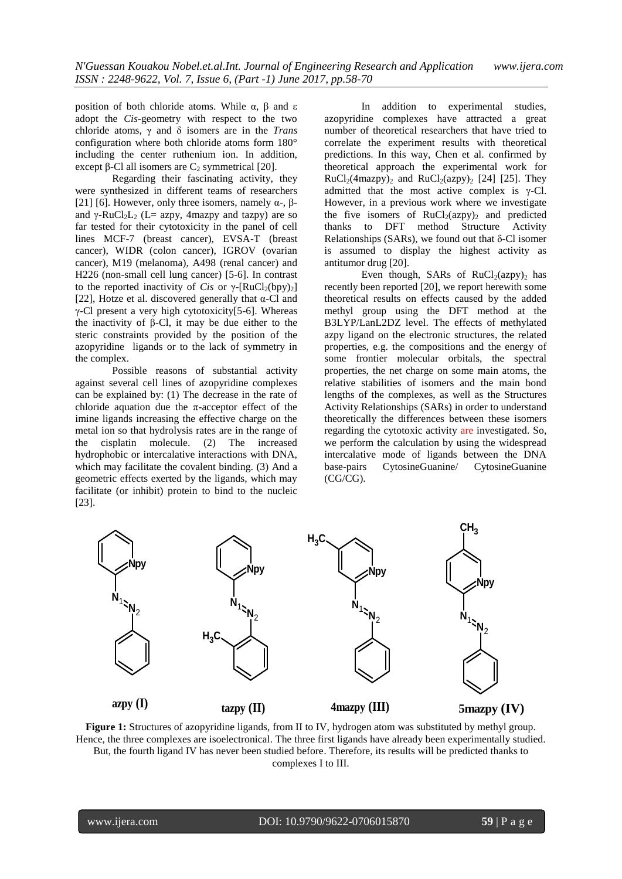position of both chloride atoms. While  $\alpha$ ,  $\beta$  and ε adopt the *Cis*-geometry with respect to the two chloride atoms, γ and δ isomers are in the *Trans* configuration where both chloride atoms form 180° including the center ruthenium ion. In addition, except  $\beta$ -Cl all isomers are C<sub>2</sub> symmetrical [20].

Regarding their fascinating activity, they were synthesized in different teams of researchers [21] [6]. However, only three isomers, namely  $\alpha$ -,  $\beta$ and  $\gamma$ -RuCl<sub>2</sub>L<sub>2</sub> (L= azpy, 4mazpy and tazpy) are so far tested for their cytotoxicity in the panel of cell lines MCF-7 (breast cancer), EVSA-T (breast cancer), WIDR (colon cancer), IGROV (ovarian cancer), M19 (melanoma), A498 (renal cancer) and H226 (non-small cell lung cancer) [5-6]. In contrast to the reported inactivity of *Cis* or  $\gamma$ -[RuCl<sub>2</sub>(bpy)<sub>2</sub>] [22], Hotze et al. discovered generally that  $\alpha$ -Cl and γ-Cl present a very high cytotoxicity[5-6]. Whereas the inactivity of β-Cl, it may be due either to the steric constraints provided by the position of the azopyridine ligands or to the lack of symmetry in the complex.

Possible reasons of substantial activity against several cell lines of azopyridine complexes can be explained by: (1) The decrease in the rate of chloride aquation due the  $\pi$ -acceptor effect of the imine ligands increasing the effective charge on the metal ion so that hydrolysis rates are in the range of the cisplatin molecule. (2) The increased hydrophobic or intercalative interactions with DNA, which may facilitate the covalent binding. (3) And a geometric effects exerted by the ligands, which may facilitate (or inhibit) protein to bind to the nucleic [23].

In addition to experimental studies, azopyridine complexes have attracted a great number of theoretical researchers that have tried to correlate the experiment results with theoretical predictions. In this way, Chen et al. confirmed by theoretical approach the experimental work for  $RuCl<sub>2</sub>(4maxpy)$ <sub>2</sub> and  $RuCl<sub>2</sub>(azy)$ <sub>2</sub> [24] [25]. They admitted that the most active complex is  $\gamma$ -Cl. However, in a previous work where we investigate the five isomers of  $RuCl<sub>2</sub>(azy)<sub>2</sub>$  and predicted thanks to DFT method Structure Activity Relationships (SARs), we found out that  $\delta$ -Cl isomer is assumed to display the highest activity as antitumor drug [20].

Even though, SARs of  $RuCl<sub>2</sub>(azy)<sub>2</sub>$  has recently been reported [20], we report herewith some theoretical results on effects caused by the added methyl group using the DFT method at the B3LYP/LanL2DZ level. The effects of methylated azpy ligand on the electronic structures, the related properties, e.g. the compositions and the energy of some frontier molecular orbitals, the spectral properties, the net charge on some main atoms, the relative stabilities of isomers and the main bond lengths of the complexes, as well as the Structures Activity Relationships (SARs) in order to understand theoretically the differences between these isomers regarding the cytotoxic activity are investigated. So, we perform the calculation by using the widespread intercalative mode of ligands between the DNA base-pairs CytosineGuanine/ CytosineGuanine  $(CG\overline{C}G)$ .



**Figure 1:** Structures of azopyridine ligands, from II to IV, hydrogen atom was substituted by methyl group. Hence, the three complexes are isoelectronical. The three first ligands have already been experimentally studied. But, the fourth ligand IV has never been studied before. Therefore, its results will be predicted thanks to complexes I to III.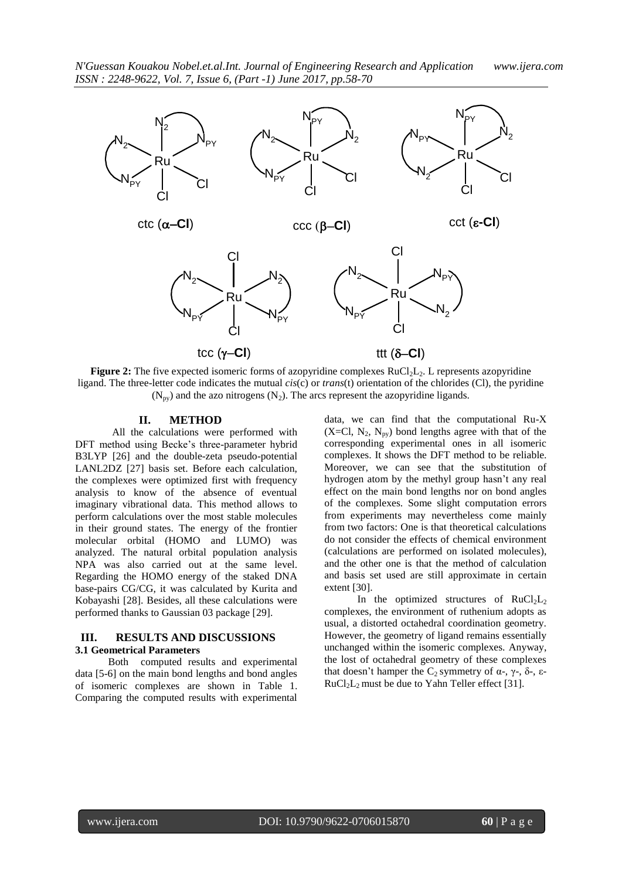

**Figure 2:** The five expected isomeric forms of azopyridine complexes RuCl<sub>2</sub>L<sub>2</sub>. L represents azopyridine ligand. The three-letter code indicates the mutual *cis*(c) or *trans*(t) orientation of the chlorides (Cl), the pyridine  $(N_{\text{av}})$  and the azo nitrogens  $(N_2)$ . The arcs represent the azopyridine ligands.

#### **II. METHOD**

All the calculations were performed with DFT method using Becke's three-parameter hybrid B3LYP [26] and the double-zeta pseudo-potential LANL2DZ [27] basis set. Before each calculation, the complexes were optimized first with frequency analysis to know of the absence of eventual imaginary vibrational data. This method allows to perform calculations over the most stable molecules in their ground states. The energy of the frontier molecular orbital (HOMO and LUMO) was analyzed. The natural orbital population analysis NPA was also carried out at the same level. Regarding the HOMO energy of the staked DNA base-pairs CG/CG, it was calculated by Kurita and Kobayashi [28]. Besides, all these calculations were performed thanks to Gaussian 03 package [29].

## **III. RESULTS AND DISCUSSIONS 3.1 Geometrical Parameters**

Both computed results and experimental data [5-6] on the main bond lengths and bond angles of isomeric complexes are shown in Table 1. Comparing the computed results with experimental data, we can find that the computational Ru-X  $(X=Cl, N_2, N_{pv})$  bond lengths agree with that of the corresponding experimental ones in all isomeric complexes. It shows the DFT method to be reliable. Moreover, we can see that the substitution of hydrogen atom by the methyl group hasn"t any real effect on the main bond lengths nor on bond angles of the complexes. Some slight computation errors from experiments may nevertheless come mainly from two factors: One is that theoretical calculations do not consider the effects of chemical environment (calculations are performed on isolated molecules), and the other one is that the method of calculation and basis set used are still approximate in certain extent [30].

In the optimized structures of  $RuCl<sub>2</sub>L<sub>2</sub>$ complexes, the environment of ruthenium adopts as usual, a distorted octahedral coordination geometry. However, the geometry of ligand remains essentially unchanged within the isomeric complexes. Anyway, the lost of octahedral geometry of these complexes that doesn't hamper the C<sub>2</sub> symmetry of α-, γ-, δ-, ε- $RuCl<sub>2</sub>L<sub>2</sub> must be due to Yahn Teller effect [31].$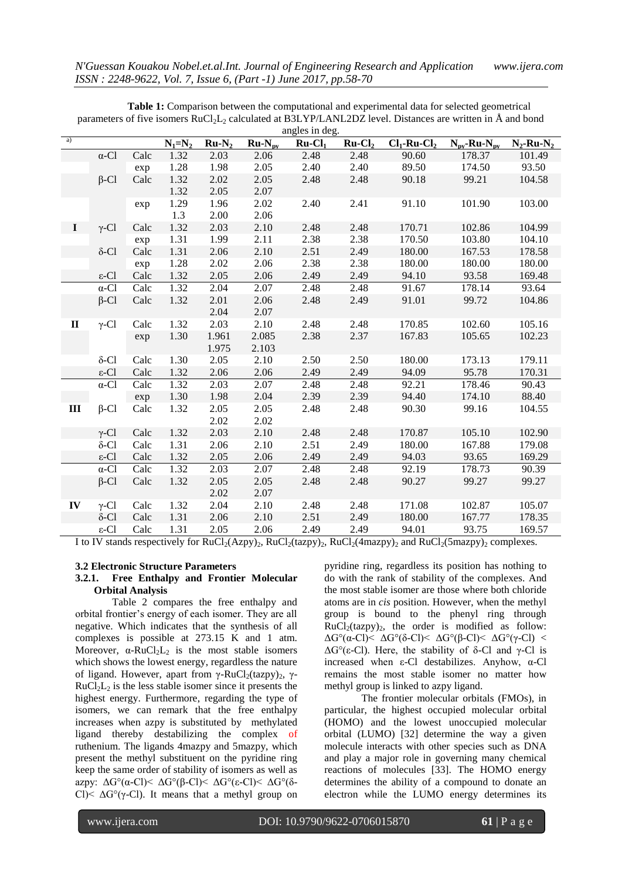|                | angles in deg.    |      |           |         |             |          |          |                    |                                      |                  |
|----------------|-------------------|------|-----------|---------|-------------|----------|----------|--------------------|--------------------------------------|------------------|
| $\overline{a}$ |                   |      | $N_1=N_2$ | $Ru-N2$ | $Ru-N_{pv}$ | $Ru-Cl1$ | $Ru-Cl2$ | $Cl_1$ -Ru- $Cl_2$ | $N_{\text{pv}}$ -Ru- $N_{\text{pv}}$ | $N_2$ -Ru- $N_2$ |
|                | $\alpha$ -Cl      | Calc | 1.32      | 2.03    | 2.06        | 2.48     | 2.48     | 90.60              | 178.37                               | 101.49           |
|                |                   | exp  | 1.28      | 1.98    | 2.05        | 2.40     | 2.40     | 89.50              | 174.50                               | 93.50            |
|                | $\beta$ -Cl       | Calc | 1.32      | 2.02    | 2.05        | 2.48     | 2.48     | 90.18              | 99.21                                | 104.58           |
|                |                   |      | 1.32      | 2.05    | 2.07        |          |          |                    |                                      |                  |
|                |                   | exp  | 1.29      | 1.96    | 2.02        | 2.40     | 2.41     | 91.10              | 101.90                               | 103.00           |
|                |                   |      | 1.3       | 2.00    | 2.06        |          |          |                    |                                      |                  |
| $\bf{I}$       | $\gamma$ -Cl      | Calc | 1.32      | 2.03    | 2.10        | 2.48     | 2.48     | 170.71             | 102.86                               | 104.99           |
|                |                   | exp  | 1.31      | 1.99    | 2.11        | 2.38     | 2.38     | 170.50             | 103.80                               | 104.10           |
|                | $\delta$ -Cl      | Calc | 1.31      | 2.06    | 2.10        | 2.51     | 2.49     | 180.00             | 167.53                               | 178.58           |
|                |                   | exp  | 1.28      | 2.02    | 2.06        | 2.38     | 2.38     | 180.00             | 180.00                               | 180.00           |
|                | $\varepsilon$ -Cl | Calc | 1.32      | 2.05    | 2.06        | 2.49     | 2.49     | 94.10              | 93.58                                | 169.48           |
|                | $\alpha$ -Cl      | Calc | 1.32      | 2.04    | 2.07        | 2.48     | 2.48     | 91.67              | 178.14                               | 93.64            |
|                | $\beta$ -Cl       | Calc | 1.32      | 2.01    | 2.06        | 2.48     | 2.49     | 91.01              | 99.72                                | 104.86           |
|                |                   |      |           | 2.04    | 2.07        |          |          |                    |                                      |                  |
| $\mathbf{I}$   | $\gamma$ -Cl      | Calc | 1.32      | 2.03    | 2.10        | 2.48     | 2.48     | 170.85             | 102.60                               | 105.16           |
|                |                   | exp  | 1.30      | 1.961   | 2.085       | 2.38     | 2.37     | 167.83             | 105.65                               | 102.23           |
|                |                   |      |           | 1.975   | 2.103       |          |          |                    |                                      |                  |
|                | $\delta$ -Cl      | Calc | 1.30      | 2.05    | 2.10        | 2.50     | 2.50     | 180.00             | 173.13                               | 179.11           |
|                | $\varepsilon$ -Cl | Calc | 1.32      | 2.06    | 2.06        | 2.49     | 2.49     | 94.09              | 95.78                                | 170.31           |
|                | $\alpha$ -Cl      | Calc | 1.32      | 2.03    | 2.07        | 2.48     | 2.48     | 92.21              | 178.46                               | 90.43            |
|                |                   | exp  | 1.30      | 1.98    | 2.04        | 2.39     | 2.39     | 94.40              | 174.10                               | 88.40            |
| III            | $\beta$ -Cl       | Calc | 1.32      | 2.05    | 2.05        | 2.48     | 2.48     | 90.30              | 99.16                                | 104.55           |
|                |                   |      |           | 2.02    | 2.02        |          |          |                    |                                      |                  |
|                | $\gamma$ -Cl      | Calc | 1.32      | 2.03    | 2.10        | 2.48     | 2.48     | 170.87             | 105.10                               | 102.90           |
|                | $\delta$ -Cl      | Calc | 1.31      | 2.06    | 2.10        | 2.51     | 2.49     | 180.00             | 167.88                               | 179.08           |
|                | $\varepsilon$ -Cl | Calc | 1.32      | 2.05    | 2.06        | 2.49     | 2.49     | 94.03              | 93.65                                | 169.29           |
|                | $\alpha$ -Cl      | Calc | 1.32      | 2.03    | 2.07        | 2.48     | 2.48     | 92.19              | 178.73                               | 90.39            |
|                | $\beta$ -Cl       | Calc | 1.32      | 2.05    | 2.05        | 2.48     | 2.48     | 90.27              | 99.27                                | 99.27            |
|                |                   |      |           | 2.02    | 2.07        |          |          |                    |                                      |                  |
| IV             | $\gamma$ -Cl      | Calc | 1.32      | 2.04    | 2.10        | 2.48     | 2.48     | 171.08             | 102.87                               | 105.07           |
|                | $\delta$ -Cl      | Calc | 1.31      | 2.06    | 2.10        | 2.51     | 2.49     | 180.00             | 167.77                               | 178.35           |
|                | $\varepsilon$ -Cl | Calc | 1.31      | 2.05    | 2.06        | 2.49     | 2.49     | 94.01              | 93.75                                | 169.57           |

**Table 1:** Comparison between the computational and experimental data for selected geometrical parameters of five isomers  $RuCl<sub>2</sub>L<sub>2</sub>$  calculated at B3LYP/LANL2DZ level. Distances are written in  $\AA$  and bond

I to IV stands respectively for  $RuCl<sub>2</sub>(Azpy)<sub>2</sub>$ ,  $RuCl<sub>2</sub>(tazy)<sub>2</sub>$ ,  $RuCl<sub>2</sub>(4maxpy)<sub>2</sub>$  and  $RuCl<sub>2</sub>(5maxpy)<sub>2</sub>$  complexes.

## **3.2 Electronic Structure Parameters**

#### **3.2.1. Free Enthalpy and Frontier Molecular Orbital Analysis**

Table 2 compares the free enthalpy and orbital frontier"s energy of each isomer. They are all negative. Which indicates that the synthesis of all complexes is possible at 273.15 K and 1 atm. Moreover,  $\alpha$ -RuCl<sub>2</sub>L<sub>2</sub> is the most stable isomers which shows the lowest energy, regardless the nature of ligand. However, apart from γ-RuCl<sub>2</sub>(tazpy)<sub>2</sub>, γ- $RuCl<sub>2</sub>L<sub>2</sub>$  is the less stable isomer since it presents the highest energy. Furthermore, regarding the type of isomers, we can remark that the free enthalpy increases when azpy is substituted by methylated ligand thereby destabilizing the complex of ruthenium. The ligands 4mazpy and 5mazpy, which present the methyl substituent on the pyridine ring keep the same order of stability of isomers as well as azpy: ΔG°(α-Cl)< ΔG°(β-Cl)< ΔG°(ε-Cl)< ΔG°(δ-Cl $\leq \Delta G^{\circ}(\gamma$ -Cl). It means that a methyl group on

pyridine ring, regardless its position has nothing to do with the rank of stability of the complexes. And the most stable isomer are those where both chloride atoms are in *cis* position. However, when the methyl group is bound to the phenyl ring through  $RuCl<sub>2</sub>(tazy)<sub>2</sub>$ , the order is modified as follow: ΔG°(α-Cl)< ΔG°(δ-Cl)< ΔG°(β-Cl)< ΔG°(γ-Cl) < ΔG°(ε-Cl). Here, the stability of δ-Cl and γ-Cl is increased when ε-Cl destabilizes. Anyhow, α-Cl remains the most stable isomer no matter how methyl group is linked to azpy ligand.

The frontier molecular orbitals (FMOs), in particular, the highest occupied molecular orbital (HOMO) and the lowest unoccupied molecular orbital (LUMO) [32] determine the way a given molecule interacts with other species such as DNA and play a major role in governing many chemical reactions of molecules [33]. The HOMO energy determines the ability of a compound to donate an electron while the LUMO energy determines its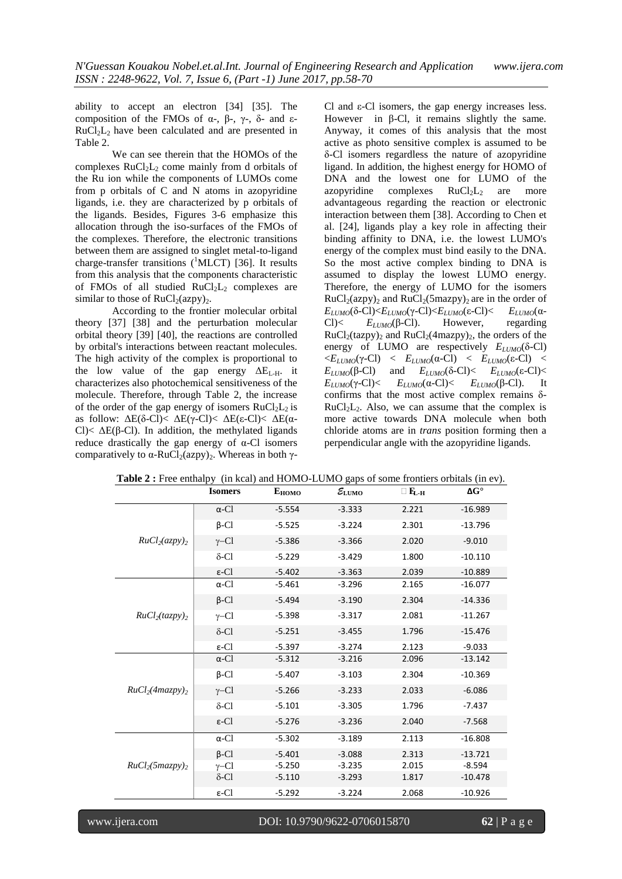ability to accept an electron [34] [35]. The composition of the FMOs of α-, β-, γ-, δ- and ε- $RuCl<sub>2</sub>L<sub>2</sub>$  have been calculated and are presented in Table 2.

We can see therein that the HOMOs of the complexes  $RuCl<sub>2</sub>L<sub>2</sub>$  come mainly from d orbitals of the Ru ion while the components of LUMOs come from p orbitals of C and N atoms in azopyridine ligands, i.e. they are characterized by p orbitals of the ligands. Besides, Figures 3-6 emphasize this allocation through the iso-surfaces of the FMOs of the complexes. Therefore, the electronic transitions between them are assigned to singlet metal-to-ligand charge-transfer transitions  $(^1$ MLCT) [36]. It results from this analysis that the components characteristic of FMOs of all studied  $RuCl<sub>2</sub>L<sub>2</sub>$  complexes are similar to those of  $RuCl<sub>2</sub>(azpy)<sub>2</sub>$ .

According to the frontier molecular orbital theory [37] [38] and the perturbation molecular orbital theory [39] [40], the reactions are controlled by orbital's interactions between reactant molecules. The high activity of the complex is proportional to the low value of the gap energy  $\Delta E_{L-H}$ . it characterizes also photochemical sensitiveness of the molecule. Therefore, through Table 2, the increase of the order of the gap energy of isomers  $RuCl<sub>2</sub>L<sub>2</sub>$  is as follow: ΔE(δ-Cl)< ΔE(γ-Cl)< ΔE(ε-Cl)< ΔE(α-Cl $\leq$   $\Delta E(\beta$ -Cl $)$ . In addition, the methylated ligands reduce drastically the gap energy of  $\alpha$ -Cl isomers comparatively to  $\alpha$ -RuCl<sub>2</sub>(azpy)<sub>2</sub>. Whereas in both γCl and ε-Cl isomers, the gap energy increases less. However in β-Cl, it remains slightly the same. Anyway, it comes of this analysis that the most active as photo sensitive complex is assumed to be δ-Cl isomers regardless the nature of azopyridine ligand. In addition, the highest energy for HOMO of DNA and the lowest one for LUMO of the azopyridine complexes  $RuCl<sub>2</sub>L<sub>2</sub>$  are more advantageous regarding the reaction or electronic interaction between them [38]. According to Chen et al. [24], ligands play a key role in affecting their binding affinity to DNA, i.e. the lowest LUMO's energy of the complex must bind easily to the DNA. So the most active complex binding to DNA is assumed to display the lowest LUMO energy. Therefore, the energy of LUMO for the isomers  $RuCl<sub>2</sub>(azy)$ <sub>2</sub> and  $RuCl<sub>2</sub>(5mag)$ <sub>2</sub> are in the order of *E*<sub>*LUMO*</sub>(δ-Cl)<*E*<sub>*LUMO*</sub>(γ-Cl)<*E*<sub>*LUMO*</sub>(ε-Cl)< *E*<sub>*LUMO*</sub>(α-Cl)< *E*<sub>*LUMO*</sub>(β-Cl). However, regarding Cl $\leq$  *E*<sub>*LUMO*</sub>( $\beta$ -Cl). However,  $RuCl<sub>2</sub>(tazy)<sub>2</sub>$  and  $RuCl<sub>2</sub>(4maxpy)<sub>2</sub>$ , the orders of the energy of LUMO are respectively  $E_{LUMO}(\delta$ -Cl)  $\langle E_{LUMO}(\gamma$ -Cl)  $\langle E_{LUMO}(\alpha$ -Cl)  $\langle E_{LUMO}(\epsilon$ -Cl)  $\langle E_{LUMO}(\epsilon)|E_{LUMO}(\epsilon)|E_{LUMO}(\epsilon)|E_{LUMO}(\epsilon)|E_{LUMO}(\epsilon)|E_{LUMO}(\epsilon)|E_{LUMO}(\epsilon)|E_{LUMO}(\epsilon)|E_{LUMO}(\epsilon)|E_{LUMO}(\epsilon)|E_{LUMO}(\epsilon)|E_{LUMO}(\epsilon)|E_{LUMO}(\epsilon)|E_{LUMO}(\epsilon)|E_{LUMO}(\epsilon)|E_{LUMO}(\epsilon)|E_{LUMO}(\epsilon)|E_{LUMO}(\epsilon)|E_{LUM$ *E*<sub>*LUMO*</sub>(β-Cl) and *E*<sub>*LUMO*</sub>(δ-Cl)< *E*<sub>*LUMO*</sub>(ε-Cl)< *E*<sub>*LUMO</sub>*(γ-Cl)< *E*<sub>*LUMO*</sub>(α-Cl)< *E*<sub>*LUMO*</sub>(β-Cl). It</sub> confirms that the most active complex remains δ- $RuCl<sub>2</sub>L<sub>2</sub>$ . Also, we can assume that the complex is more active towards DNA molecule when both chloride atoms are in *trans* position forming then a perpendicular angle with the azopyridine ligands.

| <b>Table 2</b> . The entralpy (in Kear) and HOMO-LOMO gaps of some Homels of britals (in Cy). | <b>Isomers</b>    | $E_{HOMO}$ | $\mathcal{E}_{\text{LUMO}}$ | $\Box$ $\mathbf{E}_{\mathbf{L} \cdot \mathbf{H}}$ | $\Delta G^{\circ}$ |
|-----------------------------------------------------------------------------------------------|-------------------|------------|-----------------------------|---------------------------------------------------|--------------------|
|                                                                                               | $\alpha$ -Cl      | $-5.554$   | $-3.333$                    | 2.221                                             | $-16.989$          |
|                                                                                               | $\beta$ -Cl       | $-5.525$   | $-3.224$                    | 2.301                                             | $-13.796$          |
| RuCl <sub>2</sub> (azpy) <sub>2</sub>                                                         | $\gamma$ –Cl      | $-5.386$   | $-3.366$                    | 2.020                                             | $-9.010$           |
|                                                                                               | $\delta$ -Cl      | $-5.229$   | $-3.429$                    | 1.800                                             | $-10.110$          |
|                                                                                               | $\varepsilon$ -Cl | $-5.402$   | $-3.363$                    | 2.039                                             | $-10.889$          |
|                                                                                               | $\alpha$ -Cl      | $-5.461$   | $-3.296$                    | 2.165                                             | $-16.077$          |
|                                                                                               | $\beta$ -Cl       | $-5.494$   | $-3.190$                    | 2.304                                             | $-14.336$          |
| RuCl <sub>2</sub> (tazy) <sub>2</sub>                                                         | $\gamma$ –Cl      | $-5.398$   | $-3.317$                    | 2.081                                             | $-11.267$          |
|                                                                                               | $\delta$ -Cl      | $-5.251$   | $-3.455$                    | 1.796                                             | $-15.476$          |
|                                                                                               | $\varepsilon$ -Cl | $-5.397$   | $-3.274$                    | 2.123                                             | $-9.033$           |
|                                                                                               | $\alpha$ -Cl      | $-5.312$   | $-3.216$                    | 2.096                                             | $-13.142$          |
|                                                                                               | $\beta$ -Cl       | $-5.407$   | $-3.103$                    | 2.304                                             | $-10.369$          |
| RuCl <sub>2</sub> (4maxpy) <sub>2</sub>                                                       | $\gamma$ –Cl      | $-5.266$   | $-3.233$                    | 2.033                                             | $-6.086$           |
|                                                                                               | $\delta$ -Cl      | $-5.101$   | $-3.305$                    | 1.796                                             | $-7.437$           |
|                                                                                               | $\varepsilon$ -Cl | $-5.276$   | $-3.236$                    | 2.040                                             | $-7.568$           |
|                                                                                               | $\alpha$ -Cl      | $-5.302$   | $-3.189$                    | 2.113                                             | $-16.808$          |
|                                                                                               | $\beta$ -Cl       | $-5.401$   | $-3.088$                    | 2.313                                             | $-13.721$          |
| RuCl <sub>2</sub> (5magpy)                                                                    | $\gamma$ –Cl      | $-5.250$   | $-3.235$                    | 2.015                                             | $-8.594$           |
|                                                                                               | $\delta$ -Cl      | $-5.110$   | $-3.293$                    | 1.817                                             | $-10.478$          |
|                                                                                               | $\varepsilon$ -Cl | $-5.292$   | $-3.224$                    | 2.068                                             | $-10.926$          |

**Table 2 :** Free enthalpy (in kcal) and HOMO-LUMO gaps of some frontiers orbitals (in ev).

www.ijera.com DOI: 10.9790/9622-0706015870 **62** | P a g e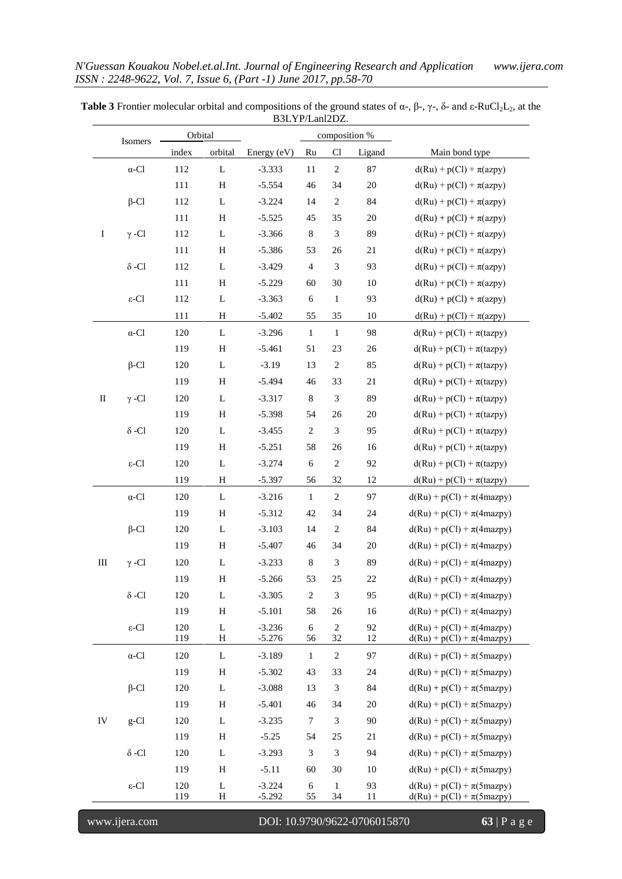|             | Isomers                            | Orbital    |              |                      |                  | composition %               |          |                                                                |
|-------------|------------------------------------|------------|--------------|----------------------|------------------|-----------------------------|----------|----------------------------------------------------------------|
|             |                                    | index      | orbital      | Energy (eV)          | Ru               | Cl                          | Ligand   | Main bond type                                                 |
|             | $\alpha\textrm{-}\mathrm{Cl}$      | 112        | $\bf L$      | $-3.333$             | 11               | $\sqrt{2}$                  | 87       | $d(Ru) + p(Cl) + \pi(azpy)$                                    |
|             |                                    | 111        | $\, {\rm H}$ | $-5.554$             | 46               | 34                          | $20\,$   | $d(Ru) + p(Cl) + \pi(azpy)$                                    |
|             | $\beta$ -Cl                        | 112        | L            | $-3.224$             | 14               | $\sqrt{2}$                  | 84       | $d(Ru) + p(Cl) + \pi(azpy)$                                    |
|             |                                    | 111        | $\, {\rm H}$ | $-5.525$             | 45               | 35                          | $20\,$   | $d(Ru) + p(Cl) + \pi(azpy)$                                    |
| $\bf I$     | $\gamma$ -Cl                       | 112        | L            | $-3.366$             | $\,8\,$          | 3                           | 89       | $d(Ru) + p(Cl) + \pi(azpy)$                                    |
|             |                                    | 111        | $\, {\rm H}$ | $-5.386$             | 53               | 26                          | 21       | $d(Ru) + p(Cl) + \pi(azpy)$                                    |
|             | $\delta$ -Cl                       | 112        | $\mathbf L$  | $-3.429$             | $\overline{4}$   | $\ensuremath{\mathfrak{Z}}$ | 93       | $d(Ru) + p(Cl) + \pi(azpy)$                                    |
|             |                                    | 111        | H            | $-5.229$             | 60               | 30                          | $10\,$   | $d(Ru) + p(Cl) + \pi(azpy)$                                    |
|             | $\varepsilon\textsc{-}\mathrm{Cl}$ | 112        | L            | $-3.363$             | $\sqrt{6}$       | $\mathbf{1}$                | 93       | $d(Ru) + p(Cl) + \pi(azpy)$                                    |
|             |                                    | 111        | H            | $-5.402$             | 55               | 35                          | $10\,$   | $d(Ru) + p(Cl) + \pi(azpy)$                                    |
|             | $\alpha\textrm{-}\mathrm{Cl}$      | 120        | L            | $-3.296$             | $\mathbf{1}$     | $\mathbf{1}$                | 98       | $d(Ru) + p(Cl) + \pi(tazy)$                                    |
|             |                                    | 119        | $\,$ H       | $-5.461$             | 51               | 23                          | 26       | $d(Ru) + p(Cl) + \pi(tazy)$                                    |
|             | $\beta$ -Cl                        | 120        | L            | $-3.19$              | 13               | $\overline{c}$              | 85       | $d(Ru) + p(Cl) + \pi(tazy)$                                    |
|             |                                    | 119        | $\, {\rm H}$ | $-5.494$             | 46               | 33                          | 21       | $d(Ru) + p(Cl) + \pi(tazy)$                                    |
| $\rm _{II}$ | $\gamma$ -Cl                       | 120        | L            | $-3.317$             | $\,8\,$          | $\mathfrak{Z}$              | 89       | $d(Ru) + p(Cl) + \pi(tazy)$                                    |
|             |                                    | 119        | $\, {\rm H}$ | $-5.398$             | 54               | 26                          | $20\,$   | $d(Ru) + p(Cl) + \pi(tazy)$                                    |
|             | $\delta$ -Cl                       | 120        | L            | $-3.455$             | $\sqrt{2}$       | $\boldsymbol{\mathfrak{Z}}$ | 95       | $d(Ru) + p(Cl) + \pi(tazy)$                                    |
|             |                                    | 119        | H            | $-5.251$             | 58               | 26                          | 16       | $d(Ru) + p(Cl) + \pi(tazy)$                                    |
|             | $\varepsilon\textsc{-}\mathrm{Cl}$ | 120        | $\mathbf L$  | $-3.274$             | $\sqrt{6}$       | $\sqrt{2}$                  | 92       | $d(Ru) + p(Cl) + \pi(tazy)$                                    |
|             |                                    | 119        | H            | $-5.397$             | 56               | 32                          | 12       | $d(Ru) + p(Cl) + \pi(tazy)$                                    |
|             | $\alpha\textrm{-}\mathrm{Cl}$      | 120        | L            | $-3.216$             | $\mathbf{1}$     | $\sqrt{2}$                  | 97       | $d(Ru) + p(Cl) + \pi(4maxpy)$                                  |
|             |                                    | 119        | $\, {\rm H}$ | $-5.312$             | 42               | 34                          | 24       | $d(Ru) + p(Cl) + \pi(4maxpy)$                                  |
|             | $\beta$ -Cl                        | 120        | $\mathbf L$  | $-3.103$             | 14               | $\sqrt{2}$                  | 84       | $d(Ru) + p(Cl) + \pi(4maxpy)$                                  |
|             |                                    | 119        | H            | $-5.407$             | 46               | 34                          | $20\,$   | $d(Ru) + p(Cl) + \pi(4maxpy)$                                  |
| $\rm III$   | $\gamma$ -Cl                       | 120        | L            | $-3.233$             | $\,8\,$          | $\ensuremath{\mathfrak{Z}}$ | 89       | $d(Ru) + p(Cl) + \pi(4maxpy)$                                  |
|             |                                    | 119        | $\, {\rm H}$ | $-5.266$             | 53               | 25                          | $22\,$   | $d(Ru) + p(Cl) + \pi(4maxpy)$                                  |
|             | $\delta$ -Cl                       | 120        | L            | $-3.305$             | $\sqrt{2}$       | $\mathfrak{Z}$              | 95       | $d(Ru) + p(Cl) + \pi(4maxpy)$                                  |
|             |                                    | 119        | H            | $-5.101$             | 58               | 26                          | 16       | $d(Ru) + p(Cl) + \pi(4maxpy)$                                  |
|             | $\varepsilon$ -Cl                  | 120<br>119 | L<br>H       | $-3.236$<br>$-5.276$ | $\sqrt{6}$<br>56 | $\sqrt{2}$<br>32            | 92<br>12 | $d(Ru) + p(Cl) + \pi(4maxpy)$<br>$d(Ru) + p(Cl) + \pi(4maxpy)$ |
|             | $\alpha$ -Cl                       | 120        | L            | $-3.189$             | $\mathbf{1}$     | $\sqrt{2}$                  | 97       | $d(Ru) + p(Cl) + \pi(5mag)y)$                                  |
|             |                                    | 119        | H            | $-5.302$             | 43               | 33                          | 24       | $d(Ru) + p(Cl) + \pi(5mag)y)$                                  |
|             | $\beta$ -Cl                        | 120        | L            | $-3.088$             | 13               | 3                           | 84       | $d(Ru) + p(Cl) + \pi(5mag)y)$                                  |
|             |                                    | 119        | H            | $-5.401$             | 46               | 34                          | 20       | $d(Ru) + p(Cl) + \pi(5mag)y)$                                  |
| IV          | $g$ -Cl                            | 120        | L            | $-3.235$             | $\boldsymbol{7}$ | 3                           | 90       | $d(Ru) + p(Cl) + \pi(5mag)y)$                                  |
|             |                                    | 119        | H            | $-5.25$              | 54               | 25                          | 21       | $d(Ru) + p(Cl) + \pi(5mag)y)$                                  |
|             | $\delta$ -Cl                       | 120        | L            | $-3.293$             | $\mathfrak{Z}$   | 3                           | 94       | $d(Ru) + p(Cl) + \pi(5mag)y)$                                  |
|             |                                    | 119        | H            | $-5.11$              | 60               | 30                          | 10       | $d(Ru) + p(Cl) + \pi(5mag)y)$                                  |
|             | $\varepsilon$ -Cl                  | 120        | L            | $-3.224$             | 6                | $\mathbf{1}$                | 93       | $d(Ru) + p(Cl) + \pi(5mag)y)$                                  |
|             |                                    | 119        | $\, {\rm H}$ | $-5.292$             | 55               | 34                          | 11       | $d(Ru) + p(Cl) + \pi(5mag)$                                    |

**Table 3** Frontier molecular orbital and compositions of the ground states of  $\alpha$ -,  $\beta$ -,  $\gamma$ -,  $\delta$ - and  $\epsilon$ -RuCl<sub>2</sub>L<sub>2</sub>, at the B3LYP/Lanl2DZ.

www.ijera.com DOI: 10.9790/9622-0706015870 **63** | P a g e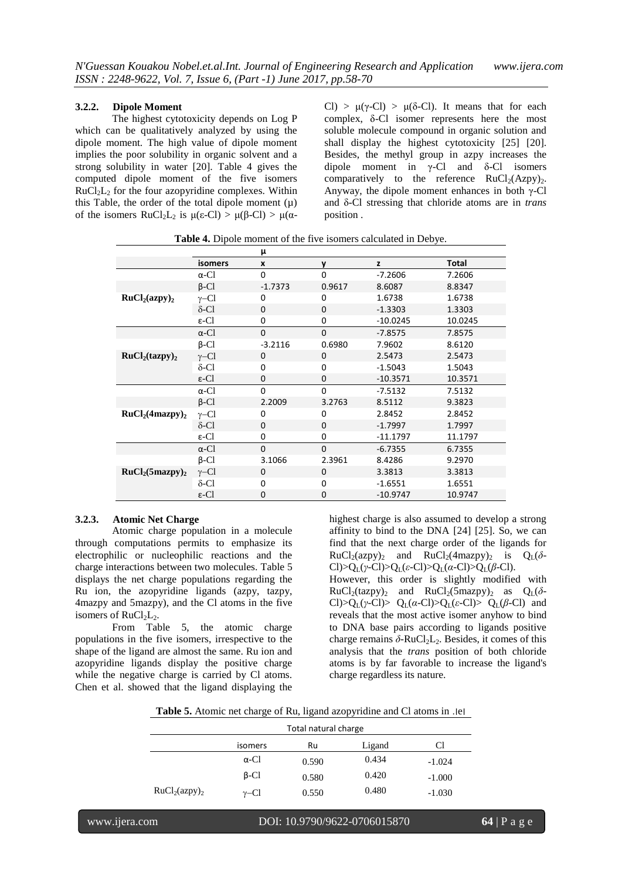## **3.2.2. Dipole Moment**

The highest cytotoxicity depends on Log P which can be qualitatively analyzed by using the dipole moment. The high value of dipole moment implies the poor solubility in organic solvent and a strong solubility in water [20]. Table 4 gives the computed dipole moment of the five isomers  $RuCl<sub>2</sub>L<sub>2</sub>$  for the four azopyridine complexes. Within this Table, the order of the total dipole moment  $(\mu)$ of the isomers  $RuCl<sub>2</sub>L<sub>2</sub>$  is  $\mu(\varepsilon-Cl) > \mu(\beta-Cl) > \mu(\alpha-\beta)$ 

Cl) >  $\mu(\gamma$ -Cl) >  $\mu(\delta$ -Cl). It means that for each complex, δ-Cl isomer represents here the most soluble molecule compound in organic solution and shall display the highest cytotoxicity [25] [20]. Besides, the methyl group in azpy increases the dipole moment in  $\gamma$ -Cl and  $\delta$ -Cl isomers comparatively to the reference  $RuCl<sub>2</sub>(Azpv)<sub>2</sub>$ . Anyway, the dipole moment enhances in both γ-Cl and δ-Cl stressing that chloride atoms are in *trans* position .

**Table 4.** Dipole moment of the five isomers calculated in Debye.

|                                         |                   | μ                |              |            |              |
|-----------------------------------------|-------------------|------------------|--------------|------------|--------------|
|                                         | <b>isomers</b>    | $\boldsymbol{x}$ | y            | z          | <b>Total</b> |
|                                         | $\alpha$ -Cl      | 0                | $\Omega$     | $-7.2606$  | 7.2606       |
|                                         | $\beta$ -Cl       | $-1.7373$        | 0.9617       | 8.6087     | 8.8347       |
| RuCl <sub>2</sub> (azy) <sub>2</sub>    | $\gamma$ –Cl      | 0                | $\Omega$     | 1.6738     | 1.6738       |
|                                         | $\delta$ -Cl      | $\mathbf{0}$     | $\Omega$     | $-1.3303$  | 1.3303       |
|                                         | $\varepsilon$ -Cl | 0                | $\mathbf 0$  | $-10.0245$ | 10.0245      |
|                                         | $\alpha$ -Cl      | $\mathbf{0}$     | $\mathbf{0}$ | $-7.8575$  | 7.8575       |
|                                         | $\beta$ -Cl       | $-3.2116$        | 0.6980       | 7.9602     | 8.6120       |
| RuCl <sub>2</sub> (tazy) <sub>2</sub>   | $\gamma$ –Cl      | $\mathbf{0}$     | $\mathbf{0}$ | 2.5473     | 2.5473       |
|                                         | $\delta$ -Cl      | 0                | 0            | $-1.5043$  | 1.5043       |
|                                         | $\varepsilon$ -Cl | 0                | $\mathbf 0$  | $-10.3571$ | 10.3571      |
|                                         | $\alpha$ -Cl      | $\Omega$         | $\Omega$     | $-7.5132$  | 7.5132       |
|                                         | $\beta$ -Cl       | 2.2009           | 3.2763       | 8.5112     | 9.3823       |
| RuCl <sub>2</sub> (4maxpy) <sub>2</sub> | $\gamma$ –Cl      | 0                | $\Omega$     | 2.8452     | 2.8452       |
|                                         | $\delta$ -Cl      | $\mathbf{0}$     | $\Omega$     | $-1.7997$  | 1.7997       |
|                                         | $\varepsilon$ -Cl | $\mathbf 0$      | $\Omega$     | $-11.1797$ | 11.1797      |
|                                         | $\alpha$ -Cl      | $\mathbf{0}$     | $\Omega$     | $-6.7355$  | 6.7355       |
|                                         | $\beta$ -Cl       | 3.1066           | 2.3961       | 8.4286     | 9.2970       |
| RuCl <sub>2</sub> (5mazpy) <sub>2</sub> | $\gamma$ –Cl      | $\mathbf{0}$     | $\mathbf 0$  | 3.3813     | 3.3813       |
|                                         | $\delta$ -Cl      | 0                | 0            | $-1.6551$  | 1.6551       |
|                                         | $\varepsilon$ -Cl | 0                | $\Omega$     | $-10.9747$ | 10.9747      |

### **3.2.3. Atomic Net Charge**

Atomic charge population in a molecule through computations permits to emphasize its electrophilic or nucleophilic reactions and the charge interactions between two molecules. Table 5 displays the net charge populations regarding the Ru ion, the azopyridine ligands (azpy, tazpy, 4mazpy and 5mazpy), and the Cl atoms in the five isomers of  $RuCl<sub>2</sub>L<sub>2</sub>$ .

From Table 5, the atomic charge populations in the five isomers, irrespective to the shape of the ligand are almost the same. Ru ion and azopyridine ligands display the positive charge while the negative charge is carried by Cl atoms. Chen et al. showed that the ligand displaying the

highest charge is also assumed to develop a strong affinity to bind to the DNA [24] [25]. So, we can find that the next charge order of the ligands for  $RuCl<sub>2</sub>(azy)$ <sub>2</sub> and  $RuCl<sub>2</sub>(4maxpy)$ <sub>2</sub> is  $Q<sub>L</sub>(\delta$ -Cl $>Q_L(\gamma$ -Cl $)>Q_L(\varepsilon$ -Cl $)>Q_L(\alpha$ -Cl $)>Q_L(\beta$ -Cl $).$ However, this order is slightly modified with  $RuCl<sub>2</sub>(tazy)<sub>2</sub>$  and  $RuCl<sub>2</sub>(5mazy)<sub>2</sub>$  as  $Q<sub>L</sub>(\delta$ -Cl)>Q<sub>L</sub>( $\gamma$ -Cl)> Q<sub>L</sub>( $\alpha$ -Cl)>Q<sub>L</sub>( $\epsilon$ -Cl)> Q<sub>L</sub>( $\beta$ -Cl) and reveals that the most active isomer anyhow to bind to DNA base pairs according to ligands positive charge remains  $\delta$ -RuCl<sub>2</sub>L<sub>2</sub>. Besides, it comes of this analysis that the *trans* position of both chloride atoms is by far favorable to increase the ligand's charge regardless its nature.

**Table 5.** Atomic net charge of Ru, ligand azopyridine and Cl atoms in .׀e׀

|                                      | Total natural charge |       |        |          |  |  |  |
|--------------------------------------|----------------------|-------|--------|----------|--|--|--|
|                                      | isomers              | Ru    | Ligand | Cl       |  |  |  |
|                                      | $\alpha$ -Cl         | 0.590 | 0.434  | $-1.024$ |  |  |  |
|                                      | $\beta$ -Cl          | 0.580 | 0.420  | $-1.000$ |  |  |  |
| RuCl <sub>2</sub> (azy) <sub>2</sub> | $v$ –Cl              | 0.550 | 0.480  | $-1.030$ |  |  |  |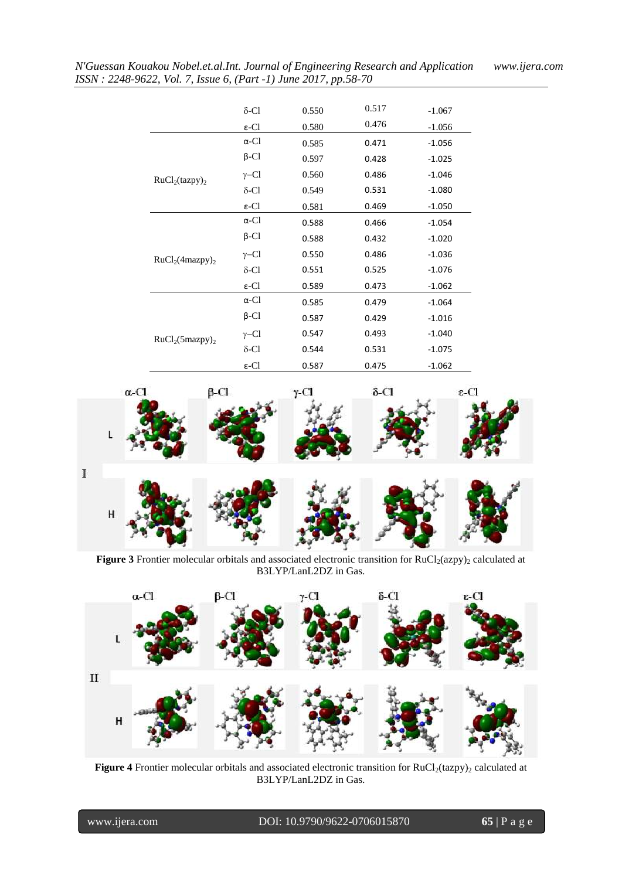|                                                                                                                                                                                                                                                                                                                                                                                                                                                                                                                                                  | $\delta$ -Cl      | 0.550 | 0.517 | $-1.067$                                                             |
|--------------------------------------------------------------------------------------------------------------------------------------------------------------------------------------------------------------------------------------------------------------------------------------------------------------------------------------------------------------------------------------------------------------------------------------------------------------------------------------------------------------------------------------------------|-------------------|-------|-------|----------------------------------------------------------------------|
|                                                                                                                                                                                                                                                                                                                                                                                                                                                                                                                                                  | $\varepsilon$ -Cl | 0.580 | 0.476 | $-1.056$                                                             |
|                                                                                                                                                                                                                                                                                                                                                                                                                                                                                                                                                  | $\alpha$ -Cl      | 0.585 | 0.471 | $-1.056$                                                             |
|                                                                                                                                                                                                                                                                                                                                                                                                                                                                                                                                                  | $\beta$ -Cl       | 0.597 | 0.428 | $-1.025$                                                             |
| $\gamma$ –Cl<br>0.560<br>0.486<br>RuCl <sub>2</sub> (tazy) <sub>2</sub><br>$\delta$ -Cl<br>0.549<br>0.531<br>$\varepsilon$ -Cl<br>0.469<br>0.581<br>$\alpha$ -Cl<br>0.588<br>0.466<br>$\beta$ -Cl<br>0.588<br>0.432<br>0.550<br>0.486<br>$\gamma$ –Cl<br>RuCl <sub>2</sub> (4maxpy) <sub>2</sub><br>$\delta$ -Cl<br>0.551<br>0.525<br>$\varepsilon$ -Cl<br>0.589<br>0.473<br>$\alpha$ -Cl<br>0.585<br>0.479<br>$\beta$ -Cl<br>0.587<br>0.429<br>$\gamma$ –Cl<br>0.547<br>0.493<br>$RuCl2(5mazpy)$ <sub>2</sub><br>$\delta$ -Cl<br>0.544<br>0.531 | $-1.046$          |       |       |                                                                      |
|                                                                                                                                                                                                                                                                                                                                                                                                                                                                                                                                                  |                   |       |       | $-1.080$                                                             |
|                                                                                                                                                                                                                                                                                                                                                                                                                                                                                                                                                  |                   |       |       | $-1.050$                                                             |
|                                                                                                                                                                                                                                                                                                                                                                                                                                                                                                                                                  |                   |       |       | $-1.054$                                                             |
|                                                                                                                                                                                                                                                                                                                                                                                                                                                                                                                                                  |                   |       |       | $-1.020$                                                             |
|                                                                                                                                                                                                                                                                                                                                                                                                                                                                                                                                                  |                   |       |       | $-1.036$                                                             |
|                                                                                                                                                                                                                                                                                                                                                                                                                                                                                                                                                  |                   |       |       | $-1.076$                                                             |
|                                                                                                                                                                                                                                                                                                                                                                                                                                                                                                                                                  |                   |       |       | $-1.062$<br>$-1.064$<br>$-1.016$<br>$-1.040$<br>$-1.075$<br>$-1.062$ |
|                                                                                                                                                                                                                                                                                                                                                                                                                                                                                                                                                  |                   |       |       |                                                                      |
|                                                                                                                                                                                                                                                                                                                                                                                                                                                                                                                                                  |                   |       |       |                                                                      |
|                                                                                                                                                                                                                                                                                                                                                                                                                                                                                                                                                  |                   |       |       |                                                                      |
|                                                                                                                                                                                                                                                                                                                                                                                                                                                                                                                                                  |                   |       |       |                                                                      |
|                                                                                                                                                                                                                                                                                                                                                                                                                                                                                                                                                  | $\varepsilon$ -Cl | 0.587 | 0.475 |                                                                      |



Figure 3 Frontier molecular orbitals and associated electronic transition for RuCl<sub>2</sub>(azpy)<sub>2</sub> calculated at B3LYP/LanL2DZ in Gas.



Figure 4 Frontier molecular orbitals and associated electronic transition for RuCl<sub>2</sub>(tazpy)<sub>2</sub> calculated at B3LYP/LanL2DZ in Gas.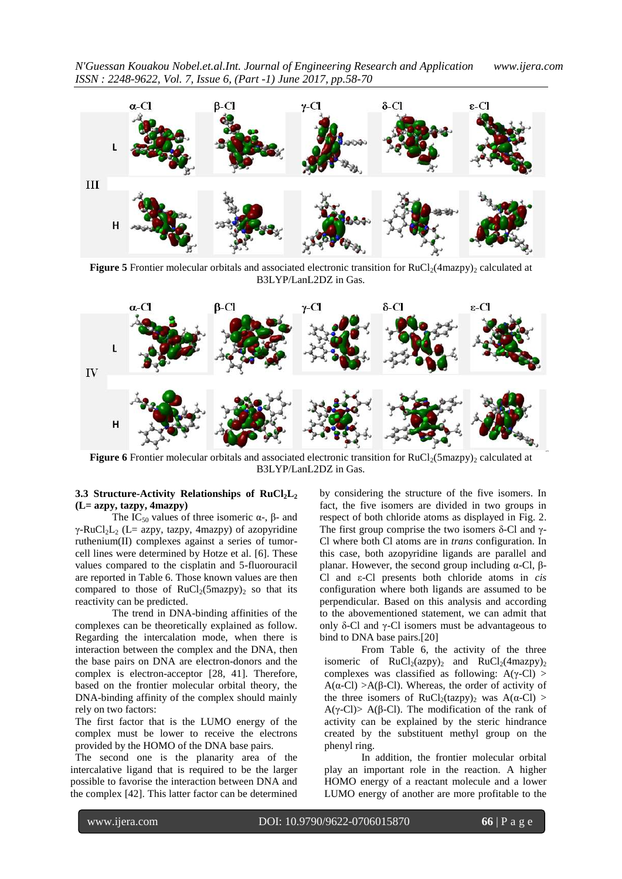



Figure 5 Frontier molecular orbitals and associated electronic transition for RuCl<sub>2</sub>(4mazpy)<sub>2</sub> calculated at B3LYP/LanL2DZ in Gas.



**Figure 6** Frontier molecular orbitals and associated electronic transition for  $RuCl<sub>2</sub>(5mazpy)<sub>2</sub>$  calculated at B3LYP/LanL2DZ in Gas.

#### **3.3 Structure-Activity Relationships of RuCl2L<sup>2</sup> (L= azpy, tazpy, 4mazpy)**

The IC<sub>50</sub> values of three isomeric  $\alpha$ -,  $\beta$ - and γ-RuCl<sub>2</sub>L<sub>2</sub> (L= azpy, tazpy, 4mazpy) of azopyridine ruthenium(II) complexes against a series of tumorcell lines were determined by Hotze et al. [6]. These values compared to the cisplatin and 5-fluorouracil are reported in Table 6. Those known values are then compared to those of  $RuCl<sub>2</sub>(5mazy)<sub>2</sub>$  so that its reactivity can be predicted.

The trend in DNA-binding affinities of the complexes can be theoretically explained as follow. Regarding the intercalation mode, when there is interaction between the complex and the DNA, then the base pairs on DNA are electron-donors and the complex is electron-acceptor [28, 41]. Therefore, based on the frontier molecular orbital theory, the DNA-binding affinity of the complex should mainly rely on two factors:

The first factor that is the LUMO energy of the complex must be lower to receive the electrons provided by the HOMO of the DNA base pairs.

The second one is the planarity area of the intercalative ligand that is required to be the larger possible to favorise the interaction between DNA and the complex [42]. This latter factor can be determined

by considering the structure of the five isomers. In fact, the five isomers are divided in two groups in respect of both chloride atoms as displayed in Fig. 2. The first group comprise the two isomers δ-Cl and  $γ$ -Cl where both Cl atoms are in *trans* configuration. In this case, both azopyridine ligands are parallel and planar. However, the second group including  $α$ -Cl,  $β$ -Cl and ε-Cl presents both chloride atoms in *cis* configuration where both ligands are assumed to be perpendicular. Based on this analysis and according to the abovementioned statement, we can admit that only δ-Cl and  $γ$ -Cl isomers must be advantageous to bind to DNA base pairs.[20]

From Table 6, the activity of the three isomeric of  $RuCl<sub>2</sub>(azy)<sub>2</sub>$  and  $RuCl<sub>2</sub>(4maxpy)<sub>2</sub>$ complexes was classified as following:  $A(y-Cl) >$ A( $\alpha$ -Cl) >A( $\beta$ -Cl). Whereas, the order of activity of the three isomers of RuCl<sub>2</sub>(tazpy)<sub>2</sub> was A( $\alpha$ -Cl) > A(γ-Cl)> A(β-Cl). The modification of the rank of activity can be explained by the steric hindrance created by the substituent methyl group on the phenyl ring.

In addition, the frontier molecular orbital play an important role in the reaction. A higher HOMO energy of a reactant molecule and a lower LUMO energy of another are more profitable to the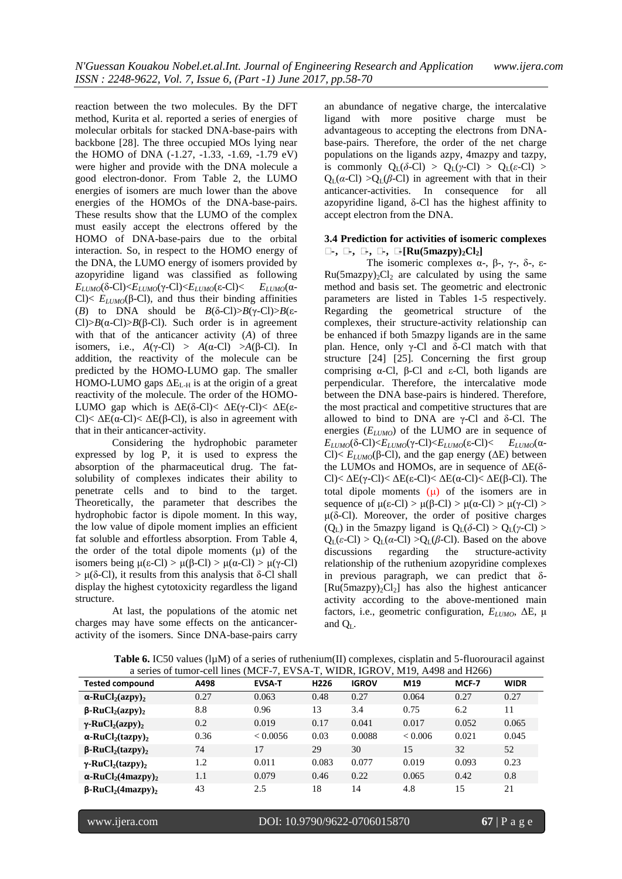reaction between the two molecules. By the DFT method, Kurita et al. reported a series of energies of molecular orbitals for stacked DNA-base-pairs with backbone [28]. The three occupied MOs lying near the HOMO of DNA (-1.27, -1.33, -1.69, -1.79 eV) were higher and provide with the DNA molecule a good electron-donor. From Table 2, the LUMO energies of isomers are much lower than the above energies of the HOMOs of the DNA-base-pairs. These results show that the LUMO of the complex must easily accept the electrons offered by the HOMO of DNA-base-pairs due to the orbital interaction. So, in respect to the HOMO energy of the DNA, the LUMO energy of isomers provided by azopyridine ligand was classified as following *E*<sub>*LUMO*</sub>(δ-Cl)<*E*<sub>*LUMO*</sub>( $γ$ -Cl)<*E*<sub>*LUMO*</sub>(ε-Cl)< *E*<sub>*LUMO*</sub>(α-Cl $\leq E_{LUMO}(\beta$ -Cl $)$ , and thus their binding affinities (*B*) to DNA should be  $B(\delta$ -Cl $)$ > $B(\gamma$ -Cl $)$ > $B(\epsilon$ -Cl $>B(\alpha$ -Cl $)>B(\beta$ -Cl $)$ . Such order is in agreement with that of the anticancer activity (*A*) of three isomers, i.e.,  $A(\gamma$ -Cl) >  $A(\alpha$ -Cl) >  $A(\beta$ -Cl). In addition, the reactivity of the molecule can be predicted by the HOMO-LUMO gap. The smaller HOMO-LUMO gaps  $\Delta E_{\text{L-H}}$  is at the origin of a great reactivity of the molecule. The order of the HOMO-LUMO gap which is  $\Delta E(\delta-CI) < \Delta E(\gamma-CI) < \Delta E(\epsilon$ -Cl $\leq \Delta E(\alpha$ -Cl $\leq \Delta E(\beta$ -Cl $)$ , is also in agreement with that in their anticancer-activity.

Considering the hydrophobic parameter expressed by log P, it is used to express the absorption of the pharmaceutical drug. The fatsolubility of complexes indicates their ability to penetrate cells and to bind to the target. Theoretically, the parameter that describes the hydrophobic factor is dipole moment. In this way, the low value of dipole moment implies an efficient fat soluble and effortless absorption. From Table 4, the order of the total dipole moments  $(\mu)$  of the isomers being  $\mu(\epsilon\text{-Cl}) > \mu(\beta\text{-Cl}) > \mu(\alpha\text{-Cl}) > \mu(\gamma\text{-Cl})$  $> \mu(\delta$ -Cl), it results from this analysis that  $\delta$ -Cl shall display the highest cytotoxicity regardless the ligand structure.

At last, the populations of the atomic net charges may have some effects on the anticanceractivity of the isomers. Since DNA-base-pairs carry

an abundance of negative charge, the intercalative ligand with more positive charge must be advantageous to accepting the electrons from DNAbase-pairs. Therefore, the order of the net charge populations on the ligands azpy, 4mazpy and tazpy, is commonly  $Q_{I}(\delta$ -Cl) >  $Q_{I}(\gamma$ -Cl) >  $Q_{I}(\epsilon$ -Cl) >  $Q_L(a-Cl) > Q_L(\beta-Cl)$  in agreement with that in their anticancer-activities. In consequence for all azopyridine ligand, δ-Cl has the highest affinity to accept electron from the DNA.

#### **3.4 Prediction for activities of isomeric complexes Δ-, Δ-, Δ-, Δ-, Δ-[Ru(5mazpy)2Cl2]**

The isomeric complexes  $\alpha$ -, β-, γ-, δ-, ε- $Ru(5mazpy)_{2}Cl_{2}$  are calculated by using the same method and basis set. The geometric and electronic parameters are listed in Tables 1-5 respectively. Regarding the geometrical structure of the complexes, their structure-activity relationship can be enhanced if both 5mazpy ligands are in the same plan. Hence, only γ-Cl and δ-Cl match with that structure [24] [25]. Concerning the first group comprising α-Cl, β-Cl and ε-Cl, both ligands are perpendicular. Therefore, the intercalative mode between the DNA base-pairs is hindered. Therefore, the most practical and competitive structures that are allowed to bind to DNA are γ-Cl and  $δ$ -Cl. The energies (*ELUMO*) of the LUMO are in sequence of *E*<sub>*LUMO*</sub>( $\delta$ -Cl)<*E*<sub>*LUMO*</sub>( $\gamma$ -Cl)<*E*<sub>*LUMO*</sub>( $\epsilon$ -Cl)< *E*<sub>*LUMO*</sub>( $\alpha$ -Cl)<  $E_{LUMO}(\beta$ -Cl), and the gap energy (ΔE) between the LUMOs and HOMOs, are in sequence of ΔE(δ-Cl)< ΔE(γ-Cl)< ΔE(ε-Cl)< ΔE(α-Cl)< ΔE(β-Cl). The total dipole moments  $(\mu)$  of the isomers are in sequence of  $\mu(\varepsilon$ -Cl) >  $\mu(\beta$ -Cl) >  $\mu(\alpha$ -Cl) >  $\mu(\gamma$ -Cl) > μ(δ-Cl). Moreover, the order of positive charges (Q<sub>L</sub>) in the 5mazpy ligand is  $Q_L(\delta$ -Cl) >  $Q_L(\gamma$ -Cl) >  $Q_L(\varepsilon\text{-Cl}) > Q_L(\alpha\text{-Cl}) > Q_L(\beta\text{-Cl})$ . Based on the above discussions regarding the structure-activity relationship of the ruthenium azopyridine complexes in previous paragraph, we can predict that δ-  $[Ru(5maxpy)_2Cl_2]$  has also the highest anticancer activity according to the above-mentioned main factors, i.e., geometric configuration, *ELUMO*, ΔE, μ and  $O<sub>r</sub>$ .

| <b>Table 6.</b> IC50 values ( $lµM$ ) of a series of ruthenium(II) complexes, cisplatin and 5-fluorouracil against |
|--------------------------------------------------------------------------------------------------------------------|
| a series of tumor-cell lines (MCF-7, EVSA-T, WIDR, IGROV, M19, A498 and H266)                                      |

| <b>Tested compound</b>                            | A498 | <b>EVSA-T</b> | H <sub>226</sub> | <b>IGROV</b> | M19     | MCF-7 | <b>WIDR</b> |
|---------------------------------------------------|------|---------------|------------------|--------------|---------|-------|-------------|
| $\alpha$ -RuCl <sub>2</sub> (azpy) <sub>2</sub>   | 0.27 | 0.063         | 0.48             | 0.27         | 0.064   | 0.27  | 0.27        |
| $\beta$ -RuCl <sub>2</sub> (azpy) <sub>2</sub>    | 8.8  | 0.96          | 13               | 3.4          | 0.75    | 6.2   | 11          |
| $\gamma$ -RuCl <sub>2</sub> (azpy) <sub>2</sub>   | 0.2  | 0.019         | 0.17             | 0.041        | 0.017   | 0.052 | 0.065       |
| $\alpha$ -RuCl <sub>2</sub> (tazpy) <sub>2</sub>  | 0.36 | < 0.0056      | 0.03             | 0.0088       | < 0.006 | 0.021 | 0.045       |
| $\beta$ -RuCl <sub>2</sub> (tazpy) <sub>2</sub>   | 74   | 17            | 29               | 30           | 15      | 32    | 52          |
| $\gamma$ -RuCl <sub>2</sub> (tazpy) <sub>2</sub>  | 1.2  | 0.011         | 0.083            | 0.077        | 0.019   | 0.093 | 0.23        |
| $\alpha$ -RuCl <sub>2</sub> (4mazpy) <sub>2</sub> | 1.1  | 0.079         | 0.46             | 0.22         | 0.065   | 0.42  | 0.8         |
| $\beta$ -RuCl <sub>2</sub> (4mazpy) <sub>2</sub>  | 43   | 2.5           | 18               | 14           | 4.8     | 15    | 21          |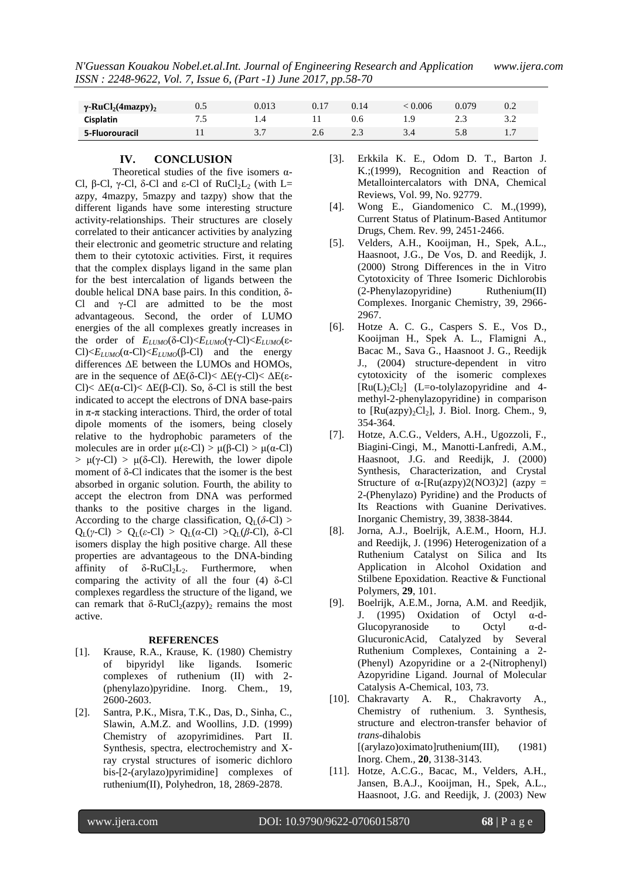| $\gamma$ -RuCl <sub>2</sub> (4mazpy) <sub>2</sub> | 0.5 | 0.013 | 0.17 | 0.14 | 0.006 | ۔079  | 0.2 |
|---------------------------------------------------|-----|-------|------|------|-------|-------|-----|
| <b>Cisplatin</b>                                  | سم  |       |      | J.O  |       | ل و ک |     |
| 5-Fluorouracil                                    |     |       |      | ن ک  |       |       |     |

#### **IV. CONCLUSION**

Theoretical studies of the five isomers  $\alpha$ -Cl, β-Cl, γ-Cl, δ-Cl and ε-Cl of  $RuCl<sub>2</sub>L<sub>2</sub>$  (with L= azpy, 4mazpy, 5mazpy and tazpy) show that the different ligands have some interesting structure activity-relationships. Their structures are closely correlated to their anticancer activities by analyzing their electronic and geometric structure and relating them to their cytotoxic activities. First, it requires that the complex displays ligand in the same plan for the best intercalation of ligands between the double helical DNA base pairs. In this condition, δ-Cl and γ-Cl are admitted to be the most advantageous. Second, the order of LUMO energies of the all complexes greatly increases in the order of *ELUMO*(δ-Cl)<*ELUMO*(γ-Cl)<*ELUMO*(ε-Cl $\geq E_{LUMO}(\alpha$ -Cl $)\leq E_{LUMO}(\beta$ -Cl $)$  and the energy differences ΔE between the LUMOs and HOMOs, are in the sequence of  $\Delta E(\delta$ -Cl)<  $\Delta E(\gamma$ -Cl)<  $\Delta E(\epsilon$ -Cl $\leq$  ΔE( $\alpha$ -Cl $\leq$  ΔE( $\beta$ -Cl $\leq$ ). So, δ-Cl is still the best indicated to accept the electrons of DNA base-pairs in  $\pi$ - $\pi$  stacking interactions. Third, the order of total dipole moments of the isomers, being closely relative to the hydrophobic parameters of the molecules are in order  $\mu(\varepsilon$ -Cl) >  $\mu(\beta$ -Cl) >  $\mu(\alpha$ -Cl)  $> \mu(\gamma$ -Cl)  $> \mu(\delta$ -Cl). Herewith, the lower dipole moment of δ-Cl indicates that the isomer is the best absorbed in organic solution. Fourth, the ability to accept the electron from DNA was performed thanks to the positive charges in the ligand. According to the charge classification,  $Q_L(\delta-CI)$ Q<sub>L</sub>(*γ*-Cl) > Q<sub>L</sub>( $\varepsilon$ -Cl) > Q<sub>L</sub>( $\alpha$ -Cl) >Q<sub>L</sub>( $\beta$ -Cl), δ-Cl isomers display the high positive charge. All these properties are advantageous to the DNA-binding affinity of  $\delta$ -RuCl<sub>2</sub>L<sub>2</sub>. Furthermore, when comparing the activity of all the four (4) δ-Cl complexes regardless the structure of the ligand, we can remark that  $\delta$ -RuCl<sub>2</sub>(azpy)<sub>2</sub> remains the most active.

#### **REFERENCES**

- [1]. Krause, R.A., Krause, K. (1980) Chemistry of bipyridyl like ligands. Isomeric complexes of ruthenium (II) with 2- (phenylazo)pyridine. Inorg. Chem., 19, 2600-2603.
- [2]. Santra, P.K., Misra, T.K., Das, D., Sinha, C., Slawin, A.M.Z. and Woollins, J.D. (1999) Chemistry of azopyrimidines. Part II. Synthesis, spectra, electrochemistry and Xray crystal structures of isomeric dichloro bis-[2-(arylazo)pyrimidine] complexes of ruthenium(II), Polyhedron, 18, 2869-2878.
- [3]. Erkkila K. E., Odom D. T., Barton J. K.;(1999), Recognition and Reaction of Metallointercalators with DNA, Chemical Reviews, Vol. 99, No. 92779.
- [4]. Wong E., Giandomenico C. M.,(1999), Current Status of Platinum-Based Antitumor Drugs, Chem. Rev. 99, 2451-2466.
- [5]. Velders, A.H., Kooijman, H., Spek, A.L., Haasnoot, J.G., De Vos, D. and Reedijk, J. (2000) Strong Differences in the in Vitro Cytotoxicity of Three Isomeric Dichlorobis (2-Phenylazopyridine) Ruthenium(II) Complexes. Inorganic Chemistry, 39, 2966- 2967.
- [6]. Hotze A. C. G., Caspers S. E., Vos D., Kooijman H., Spek A. L., Flamigni A., Bacac M., Sava G., Haasnoot J. G., Reedijk J., (2004) structure-dependent in vitro cytotoxicity of the isomeric complexes  $[Ru(L)_2Cl_2]$  (L=o-tolylazopyridine and 4methyl-2-phenylazopyridine) in comparison to  $[Ru(azpy)<sub>2</sub>Cl<sub>2</sub>]$ , J. Biol. Inorg. Chem., 9, 354-364.
- [7]. Hotze, A.C.G., Velders, A.H., Ugozzoli, F., Biagini-Cingi, M., Manotti-Lanfredi, A.M., Haasnoot, J.G. and Reedijk, J. (2000) Synthesis, Characterization, and Crystal Structure of  $\alpha$ -[Ru(azpy)2(NO3)2] (azpy = 2-(Phenylazo) Pyridine) and the Products of Its Reactions with Guanine Derivatives. Inorganic Chemistry, 39, 3838-3844.
- [8]. Jorna, A.J., Boelrijk, A.E.M., Hoorn, H.J. and Reedijk, J. (1996) Heterogenization of a Ruthenium Catalyst on Silica and Its Application in Alcohol Oxidation and Stilbene Epoxidation. Reactive & Functional Polymers, **29**, 101.
- [9]. Boelrijk, A.E.M., Jorna, A.M. and Reedjik, J. (1995) Oxidation of Octyl α-d-Glucopyranoside to Octyl α-d-GlucuronicAcid, Catalyzed by Several Ruthenium Complexes, Containing a 2- (Phenyl) Azopyridine or a 2-(Nitrophenyl) Azopyridine Ligand. Journal of Molecular Catalysis A-Chemical, 103, 73.
- [10]. Chakravarty A. R., Chakravorty A., Chemistry of ruthenium. 3. Synthesis, structure and electron-transfer behavior of *trans*-dihalobis  $[(arylazo)oximato]$ ruthenium $(III)$ ,  $(1981)$ Inorg. Chem.*,* **20**, 3138-3143.
- [11]. Hotze, A.C.G., Bacac, M., Velders, A.H., Jansen, B.A.J., Kooijman, H., Spek, A.L., Haasnoot, J.G. and Reedijk, J. (2003) New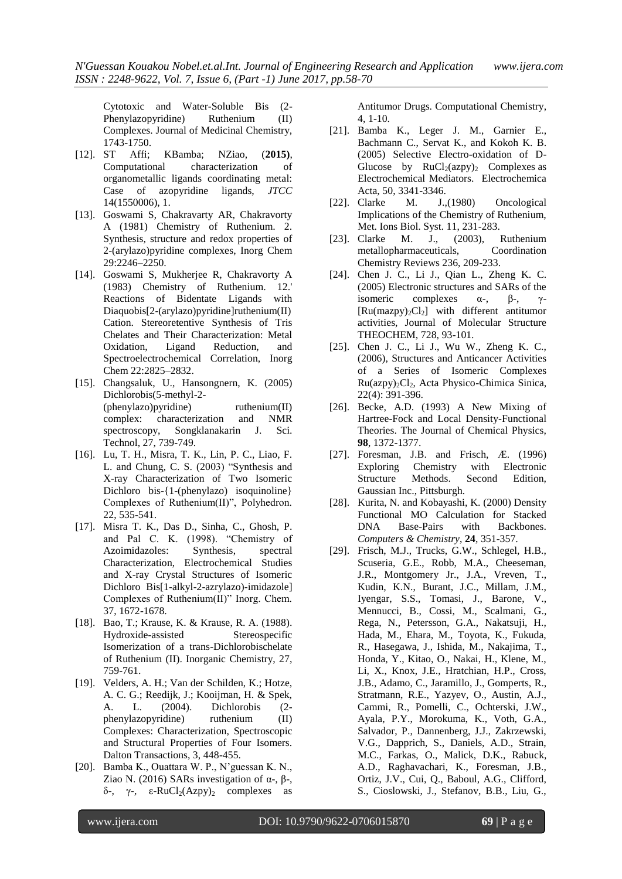Cytotoxic and Water-Soluble Bis (2- Phenylazopyridine) Ruthenium (II) Complexes. Journal of Medicinal Chemistry, 1743-1750.

- [12]. ST Affi; KBamba; NZiao, (**2015)**, Computational characterization of organometallic ligands coordinating metal: Case of azopyridine ligands, *JTCC* 14(1550006), 1.
- [13]. Goswami S, Chakravarty AR, Chakravorty A (1981) Chemistry of Ruthenium. 2. Synthesis, structure and redox properties of 2-(arylazo)pyridine complexes, Inorg Chem 29:2246–2250.
- [14]. Goswami S, Mukherjee R, Chakravorty A (1983) Chemistry of Ruthenium. 12.' Reactions of Bidentate Ligands with Diaquobis[2-(arylazo)pyridine]ruthenium(II) Cation. Stereoretentive Synthesis of Tris Chelates and Their Characterization: Metal Oxidation, Ligand Reduction, and Spectroelectrochemical Correlation, Inorg Chem 22:2825–2832.
- [15]. Changsaluk, U., Hansongnern, K. (2005) Dichlorobis(5-methyl-2- (phenylazo)pyridine) ruthenium(II) complex: characterization and NMR spectroscopy, Songklanakarin J. Sci. Technol, 27, 739-749.
- [16]. Lu, T. H., Misra, T. K., Lin, P. C., Liao, F. L. and Chung, C. S. (2003) "Synthesis and X-ray Characterization of Two Isomeric Dichloro bis-{1-(phenylazo) isoquinoline} Complexes of Ruthenium(II)", Polyhedron. 22, 535-541.
- [17]. Misra T. K., Das D., Sinha, C., Ghosh, P. and Pal C. K. (1998). "Chemistry of Azoimidazoles: Synthesis, spectral Characterization, Electrochemical Studies and X-ray Crystal Structures of Isomeric Dichloro Bis[1-alkyl-2-azrylazo)-imidazole] Complexes of Ruthenium(II)" Inorg. Chem. 37, 1672-1678.
- [18]. Bao, T.; Krause, K. & Krause, R. A. (1988). Hydroxide-assisted Stereospecific Isomerization of a trans-Dichlorobischelate of Ruthenium (II). Inorganic Chemistry, 27, 759-761.
- [19]. Velders, A. H.; Van der Schilden, K.; Hotze, A. C. G.; Reedijk, J.; Kooijman, H. & Spek, A. L. (2004). Dichlorobis (2 phenylazopyridine) ruthenium (II) Complexes: Characterization, Spectroscopic and Structural Properties of Four Isomers. Dalton Transactions, 3, 448-455.
- [20]. Bamba K., Ouattara W. P., N"guessan K. N., Ziao N. (2016) SARs investigation of α-, β-,  $δ$ -, γ-,  $ε$ -RuCl<sub>2</sub>(Azpy)<sub>2</sub> complexes as

Antitumor Drugs. Computational Chemistry, 4, 1-10.

- [21]. Bamba K., Leger J. M., Garnier E., Bachmann C., Servat K., and Kokoh K. B. (2005) Selective Electro-oxidation of D-Glucose by  $RuCl<sub>2</sub>(azy)$ , Complexes as Electrochemical Mediators. Electrochemica Acta, 50, 3341-3346.
- [22]. Clarke M. J.,(1980) Oncological Implications of the Chemistry of Ruthenium, Met. Ions Biol. Syst. 11, 231-283.
- [23]. Clarke M. J., (2003), Ruthenium metallopharmaceuticals, Coordination Chemistry Reviews 236, 209-233.
- [24]. Chen J. C., Li J., Qian L., Zheng K. C. (2005) Electronic structures and SARs of the isomeric complexes  $\alpha$ -,  $\beta$ -,  $\gamma$ - $[Ru(\text{maxpy})_2Cl_2]$  with different antitumor activities, Journal of Molecular Structure THEOCHEM, 728, 93-101.
- [25]. Chen J. C., Li J., Wu W., Zheng K. C., (2006), Structures and Anticancer Activities of a Series of Isomeric Complexes Ru(azpy)2Cl2, Acta Physico-Chimica Sinica, 22(4): 391-396.
- [26]. Becke, A.D. (1993) A New Mixing of Hartree-Fock and Local Density-Functional Theories. The Journal of Chemical Physics, **98**, 1372-1377.
- [27]. Foresman, J.B. and Frisch, Æ. (1996) Exploring Chemistry with Electronic Structure Methods. Second Edition, Gaussian Inc., Pittsburgh.
- [28]. Kurita, N. and Kobayashi, K. (2000) Density Functional MO Calculation for Stacked DNA Base-Pairs with Backbones. *Computers & Chemistry*, **24**, 351-357.
- [29]. Frisch, M.J., Trucks, G.W., Schlegel, H.B., Scuseria, G.E., Robb, M.A., Cheeseman, J.R., Montgomery Jr., J.A., Vreven, T., Kudin, K.N., Burant, J.C., Millam, J.M., Iyengar, S.S., Tomasi, J., Barone, V., Mennucci, B., Cossi, M., Scalmani, G., Rega, N., Petersson, G.A., Nakatsuji, H., Hada, M., Ehara, M., Toyota, K., Fukuda, R., Hasegawa, J., Ishida, M., Nakajima, T., Honda, Y., Kitao, O., Nakai, H., Klene, M., Li, X., Knox, J.E., Hratchian, H.P., Cross, J.B., Adamo, C., Jaramillo, J., Gomperts, R., Stratmann, R.E., Yazyev, O., Austin, A.J., Cammi, R., Pomelli, C., Ochterski, J.W., Ayala, P.Y., Morokuma, K., Voth, G.A., Salvador, P., Dannenberg, J.J., Zakrzewski, V.G., Dapprich, S., Daniels, A.D., Strain, M.C., Farkas, O., Malick, D.K., Rabuck, A.D., Raghavachari, K., Foresman, J.B., Ortiz, J.V., Cui, Q., Baboul, A.G., Clifford, S., Cioslowski, J., Stefanov, B.B., Liu, G.,